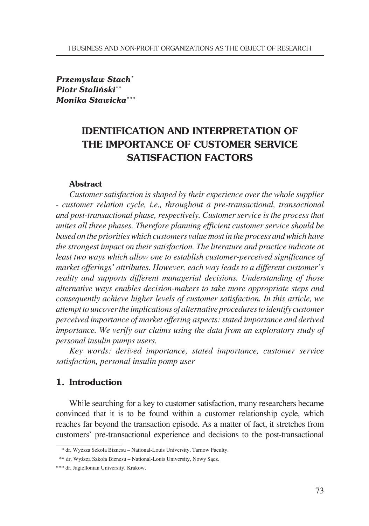*Przemysław Stach\* Piotr Staliński\*\* Monika Stawicka\*\*\**

# **IDENTIFICATION AND INTERPRETATION OF THE IMPORTANCE OF CUSTOMER SERVICE SATISFACTION FACTORS**

#### **Abstract**

*Customer satisfaction is shaped by their experience over the whole supplier - customer relation cycle, i.e., throughout a pre-transactional, transactional and post-transactional phase, respectively. Customer service is the process that unites all three phases. Therefore planning efficient customer service should be based on the priorities which customers value most in the process and which have the strongest impact on their satisfaction. The literature and practice indicate at least two ways which allow one to establish customer-perceived significance of market offerings' attributes. However, each way leads to a different customer's reality and supports different managerial decisions. Understanding of those alternative ways enables decision-makers to take more appropriate steps and consequently achieve higher levels of customer satisfaction. In this article, we attempt to uncover the implications of alternative procedures to identify customer perceived importance of market offering aspects: stated importance and derived importance. We verify our claims using the data from an exploratory study of personal insulin pumps users.*

*Key words: derived importance, stated importance, customer service satisfaction, personal insulin pomp user* 

# **1. Introduction**

While searching for a key to customer satisfaction, many researchers became convinced that it is to be found within a customer relationship cycle, which reaches far beyond the transaction episode. As a matter of fact, it stretches from customers' pre-transactional experience and decisions to the post-transactional

<sup>\*</sup> dr, Wyższa Szkoła Biznesu – National-Louis University, Tarnow Faculty.

<sup>\*\*</sup> dr, Wyższa Szkoła Biznesu – National-Louis University, Nowy Sącz.

<sup>\*\*\*</sup> dr, Jagiellonian University, Krakow.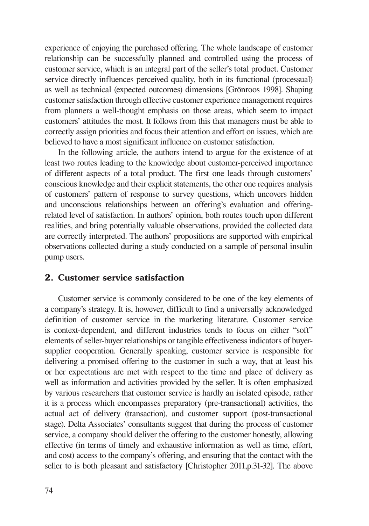experience of enjoying the purchased offering. The whole landscape of customer relationship can be successfully planned and controlled using the process of customer service, which is an integral part of the seller's total product. Customer service directly influences perceived quality, both in its functional (processual) as well as technical (expected outcomes) dimensions [Grönroos 1998]. Shaping customer satisfaction through effective customer experience management requires from planners a well-thought emphasis on those areas, which seem to impact customers' attitudes the most. It follows from this that managers must be able to correctly assign priorities and focus their attention and effort on issues, which are believed to have a most significant influence on customer satisfaction.

In the following article, the authors intend to argue for the existence of at least two routes leading to the knowledge about customer-perceived importance of different aspects of a total product. The first one leads through customers' conscious knowledge and their explicit statements, the other one requires analysis of customers' pattern of response to survey questions, which uncovers hidden and unconscious relationships between an offering's evaluation and offeringrelated level of satisfaction. In authors' opinion, both routes touch upon different realities, and bring potentially valuable observations, provided the collected data are correctly interpreted. The authors' propositions are supported with empirical observations collected during a study conducted on a sample of personal insulin pump users.

#### **2. Customer service satisfaction**

Customer service is commonly considered to be one of the key elements of a company's strategy. It is, however, difficult to find a universally acknowledged definition of customer service in the marketing literature. Customer service is context-dependent, and different industries tends to focus on either "soft" elements of seller-buyer relationships or tangible effectiveness indicators of buyersupplier cooperation. Generally speaking, customer service is responsible for delivering a promised offering to the customer in such a way, that at least his or her expectations are met with respect to the time and place of delivery as well as information and activities provided by the seller. It is often emphasized by various researchers that customer service is hardly an isolated episode, rather it is a process which encompasses preparatory (pre-transactional) activities, the actual act of delivery (transaction), and customer support (post-transactional stage). Delta Associates' consultants suggest that during the process of customer service, a company should deliver the offering to the customer honestly, allowing effective (in terms of timely and exhaustive information as well as time, effort, and cost) access to the company's offering, and ensuring that the contact with the seller to is both pleasant and satisfactory [Christopher 2011,p.31-32]. The above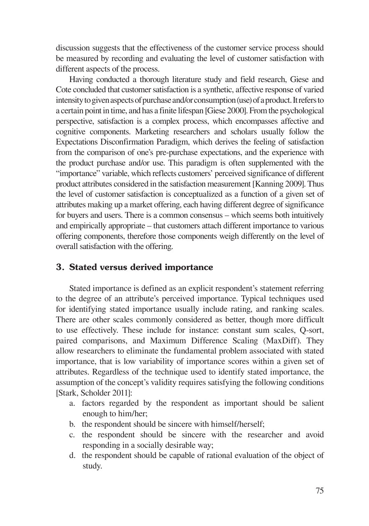discussion suggests that the effectiveness of the customer service process should be measured by recording and evaluating the level of customer satisfaction with different aspects of the process.

Having conducted a thorough literature study and field research, Giese and Cote concluded that customer satisfaction is a synthetic, affective response of varied intensity to given aspects of purchase and/or consumption (use) of a product. It refers to a certain point in time, and has a finite lifespan [Giese 2000]. From the psychological perspective, satisfaction is a complex process, which encompasses affective and cognitive components. Marketing researchers and scholars usually follow the Expectations Disconfirmation Paradigm, which derives the feeling of satisfaction from the comparison of one's pre-purchase expectations, and the experience with the product purchase and/or use. This paradigm is often supplemented with the "importance" variable, which reflects customers' perceived significance of different product attributes considered in the satisfaction measurement [Kanning 2009]. Thus the level of customer satisfaction is conceptualized as a function of a given set of attributes making up a market offering, each having different degree of significance for buyers and users. There is a common consensus – which seems both intuitively and empirically appropriate – that customers attach different importance to various offering components, therefore those components weigh differently on the level of overall satisfaction with the offering.

## **3. Stated versus derived importance**

Stated importance is defined as an explicit respondent's statement referring to the degree of an attribute's perceived importance. Typical techniques used for identifying stated importance usually include rating, and ranking scales. There are other scales commonly considered as better, though more difficult to use effectively. These include for instance: constant sum scales, Q-sort, paired comparisons, and Maximum Difference Scaling (MaxDiff). They allow researchers to eliminate the fundamental problem associated with stated importance, that is low variability of importance scores within a given set of attributes. Regardless of the technique used to identify stated importance, the assumption of the concept's validity requires satisfying the following conditions [Stark, Scholder 2011]:

- a. factors regarded by the respondent as important should be salient enough to him/her;
- b. the respondent should be sincere with himself/herself;
- c. the respondent should be sincere with the researcher and avoid responding in a socially desirable way;
- d. the respondent should be capable of rational evaluation of the object of study.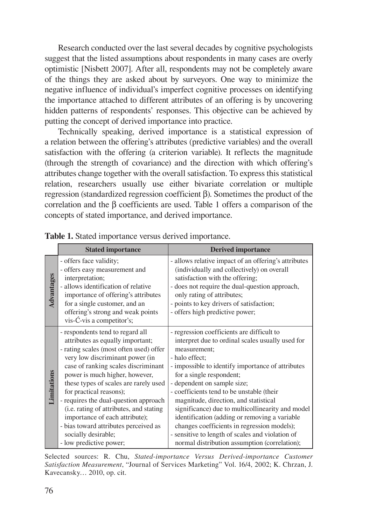Research conducted over the last several decades by cognitive psychologists suggest that the listed assumptions about respondents in many cases are overly optimistic [Nisbett 2007]. After all, respondents may not be completely aware of the things they are asked about by surveyors. One way to minimize the negative influence of individual's imperfect cognitive processes on identifying the importance attached to different attributes of an offering is by uncovering hidden patterns of respondents' responses. This objective can be achieved by putting the concept of derived importance into practice.

Technically speaking, derived importance is a statistical expression of a relation between the offering's attributes (predictive variables) and the overall satisfaction with the offering (a criterion variable). It reflects the magnitude (through the strength of covariance) and the direction with which offering's attributes change together with the overall satisfaction. To express this statistical relation, researchers usually use either bivariate correlation or multiple regression (standardized regression coefficient β). Sometimes the product of the correlation and the β coefficients are used. Table 1 offers a comparison of the concepts of stated importance, and derived importance.

|                    | <b>Stated importance</b>                                                                                                                                                                                                                                                                                                                                                                                                                                                                                         | <b>Derived importance</b>                                                                                                                                                                                                                                                                                                                                                                                                                                                                                                                                                                       |
|--------------------|------------------------------------------------------------------------------------------------------------------------------------------------------------------------------------------------------------------------------------------------------------------------------------------------------------------------------------------------------------------------------------------------------------------------------------------------------------------------------------------------------------------|-------------------------------------------------------------------------------------------------------------------------------------------------------------------------------------------------------------------------------------------------------------------------------------------------------------------------------------------------------------------------------------------------------------------------------------------------------------------------------------------------------------------------------------------------------------------------------------------------|
| Advantages         | - offers face validity;<br>- offers easy measurement and<br>interpretation;<br>- allows identification of relative<br>importance of offering's attributes<br>for a single customer, and an<br>offering's strong and weak points<br>vis-Ć-vis a competitor's;                                                                                                                                                                                                                                                     | - allows relative impact of an offering's attributes<br>(individually and collectively) on overall<br>satisfaction with the offering;<br>- does not require the dual-question approach,<br>only rating of attributes;<br>- points to key drivers of satisfaction;<br>- offers high predictive power;                                                                                                                                                                                                                                                                                            |
| <b>Limitations</b> | - respondents tend to regard all<br>attributes as equally important;<br>- rating scales (most often used) offer<br>very low discriminant power (in<br>case of ranking scales discriminant<br>power is much higher, however,<br>these types of scales are rarely used<br>for practical reasons);<br>- requires the dual-question approach<br>(i.e. rating of attributes, and stating<br>importance of each attribute);<br>- bias toward attributes perceived as<br>socially desirable;<br>- low predictive power; | - regression coefficients are difficult to<br>interpret due to ordinal scales usually used for<br>measurement;<br>- halo effect:<br>- impossible to identify importance of attributes<br>for a single respondent;<br>- dependent on sample size;<br>- coefficients tend to be unstable (their<br>magnitude, direction, and statistical<br>significance) due to multicollinearity and model<br>identification (adding or removing a variable<br>changes coefficients in regression models);<br>- sensitive to length of scales and violation of<br>normal distribution assumption (correlation); |

**Table 1.** Stated importance versus derived importance.

Selected sources: R. Chu, *Stated-importance Versus Derived-importance Customer Satisfaction Measurement*, "Journal of Services Marketing" Vol. 16/4, 2002; K. Chrzan, J. Kavecansky… 2010, op. cit.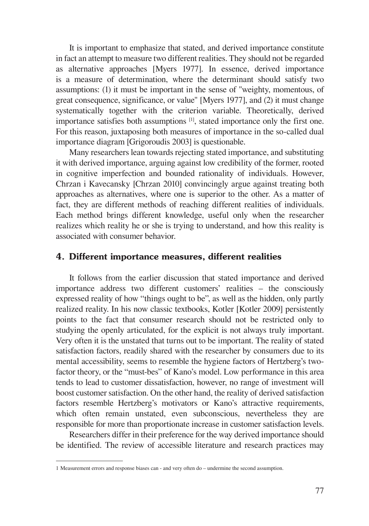It is important to emphasize that stated, and derived importance constitute in fact an attempt to measure two different realities. They should not be regarded as alternative approaches [Myers 1977]. In essence, derived importance is a measure of determination, where the determinant should satisfy two assumptions: (1) it must be important in the sense of "weighty, momentous, of great consequence, significance, or value" [Myers 1977], and (2) it must change systematically together with the criterion variable. Theoretically, derived importance satisfies both assumptions [1], stated importance only the first one. For this reason, juxtaposing both measures of importance in the so-called dual importance diagram [Grigoroudis 2003] is questionable.

Many researchers lean towards rejecting stated importance, and substituting it with derived importance, arguing against low credibility of the former, rooted in cognitive imperfection and bounded rationality of individuals. However, Chrzan i Kavecansky [Chrzan 2010] convincingly argue against treating both approaches as alternatives, where one is superior to the other. As a matter of fact, they are different methods of reaching different realities of individuals. Each method brings different knowledge, useful only when the researcher realizes which reality he or she is trying to understand, and how this reality is associated with consumer behavior.

#### **4. Different importance measures, different realities**

It follows from the earlier discussion that stated importance and derived importance address two different customers' realities – the consciously expressed reality of how "things ought to be", as well as the hidden, only partly realized reality. In his now classic textbooks, Kotler [Kotler 2009] persistently points to the fact that consumer research should not be restricted only to studying the openly articulated, for the explicit is not always truly important. Very often it is the unstated that turns out to be important. The reality of stated satisfaction factors, readily shared with the researcher by consumers due to its mental accessibility, seems to resemble the hygiene factors of Hertzberg's twofactor theory, or the "must-bes" of Kano's model. Low performance in this area tends to lead to customer dissatisfaction, however, no range of investment will boost customer satisfaction. On the other hand, the reality of derived satisfaction factors resemble Hertzberg's motivators or Kano's attractive requirements, which often remain unstated, even subconscious, nevertheless they are responsible for more than proportionate increase in customer satisfaction levels.

Researchers differ in their preference for the way derived importance should be identified. The review of accessible literature and research practices may

<sup>1</sup> Measurement errors and response biases can - and very often do – undermine the second assumption.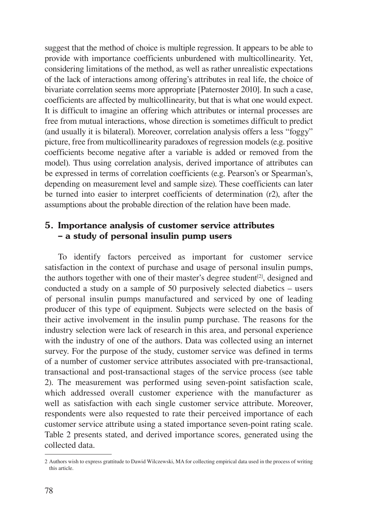suggest that the method of choice is multiple regression. It appears to be able to provide with importance coefficients unburdened with multicollinearity. Yet, considering limitations of the method, as well as rather unrealistic expectations of the lack of interactions among offering's attributes in real life, the choice of bivariate correlation seems more appropriate [Paternoster 2010]. In such a case, coefficients are affected by multicollinearity, but that is what one would expect. It is difficult to imagine an offering which attributes or internal processes are free from mutual interactions, whose direction is sometimes difficult to predict (and usually it is bilateral). Moreover, correlation analysis offers a less "foggy" picture, free from multicollinearity paradoxes of regression models (e.g. positive coefficients become negative after a variable is added or removed from the model). Thus using correlation analysis, derived importance of attributes can be expressed in terms of correlation coefficients (e.g. Pearson's or Spearman's, depending on measurement level and sample size). These coefficients can later be turned into easier to interpret coefficients of determination (r2), after the assumptions about the probable direction of the relation have been made.

# **5. Importance analysis of customer service attributes – a study of personal insulin pump users**

To identify factors perceived as important for customer service satisfaction in the context of purchase and usage of personal insulin pumps, the authors together with one of their master's degree student<sup>[2]</sup>, designed and conducted a study on a sample of 50 purposively selected diabetics – users of personal insulin pumps manufactured and serviced by one of leading producer of this type of equipment. Subjects were selected on the basis of their active involvement in the insulin pump purchase. The reasons for the industry selection were lack of research in this area, and personal experience with the industry of one of the authors. Data was collected using an internet survey. For the purpose of the study, customer service was defined in terms of a number of customer service attributes associated with pre-transactional, transactional and post-transactional stages of the service process (see table 2). The measurement was performed using seven-point satisfaction scale, which addressed overall customer experience with the manufacturer as well as satisfaction with each single customer service attribute. Moreover, respondents were also requested to rate their perceived importance of each customer service attribute using a stated importance seven-point rating scale. Table 2 presents stated, and derived importance scores, generated using the collected data.

<sup>2</sup> Authors wish to express grattitude to Dawid Wilczewski, MA for collecting empirical data used in the process of writing this article.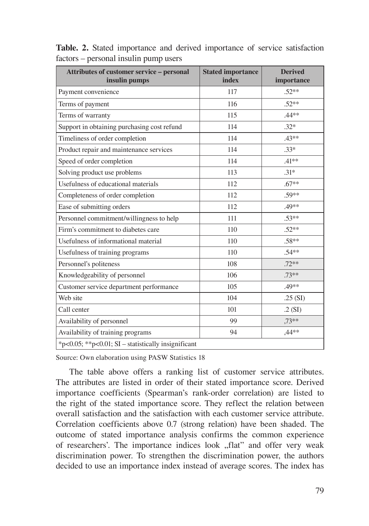| Attributes of customer service – personal<br>insulin pumps | <b>Stated importance</b><br>index | <b>Derived</b><br>importance |  |  |
|------------------------------------------------------------|-----------------------------------|------------------------------|--|--|
| Payment convenience                                        | 117                               | $.52**$                      |  |  |
| Terms of payment                                           | 116                               | $.52**$                      |  |  |
| Terms of warranty                                          | 115                               | .44**                        |  |  |
| Support in obtaining purchasing cost refund                | 114                               | $.32*$                       |  |  |
| Timeliness of order completion                             | 114                               | $.43***$                     |  |  |
| Product repair and maintenance services                    | 114                               | $.33*$                       |  |  |
| Speed of order completion                                  | 114                               | $.41***$                     |  |  |
| Solving product use problems                               | 113                               | $.31*$                       |  |  |
| Usefulness of educational materials                        | 112                               | $.67**$                      |  |  |
| Completeness of order completion                           | 112                               | .59**                        |  |  |
| Ease of submitting orders                                  | 112                               | .49**                        |  |  |
| Personnel commitment/willingness to help                   | 111                               | $.53**$                      |  |  |
| Firm's commitment to diabetes care                         | 110                               | $.52**$                      |  |  |
| Usefulness of informational material                       | 110                               | .58**                        |  |  |
| Usefulness of training programs                            | 110                               | $.54**$                      |  |  |
| Personnel's politeness                                     | 108                               | $.72**$                      |  |  |
| Knowledgeability of personnel                              | 106                               | $.73**$                      |  |  |
| Customer service department performance                    | 105                               | .49**                        |  |  |
| Web site                                                   | 104                               | .25(SI)                      |  |  |
| Call center                                                | 101                               | .2(SI)                       |  |  |
| Availability of personnel                                  | 99                                | $.73***$                     |  |  |
| Availability of training programs                          | 94                                | ,44**                        |  |  |
| *p<0.05; **p<0.01; SI – statistically insignificant        |                                   |                              |  |  |

**Table. 2.** Stated importance and derived importance of service satisfaction factors – personal insulin pump users

Source: Own elaboration using PASW Statistics 18

The table above offers a ranking list of customer service attributes. The attributes are listed in order of their stated importance score. Derived importance coefficients (Spearman's rank-order correlation) are listed to the right of the stated importance score. They reflect the relation between overall satisfaction and the satisfaction with each customer service attribute. Correlation coefficients above 0.7 (strong relation) have been shaded. The outcome of stated importance analysis confirms the common experience of researchers'. The importance indices look "flat" and offer very weak discrimination power. To strengthen the discrimination power, the authors decided to use an importance index instead of average scores. The index has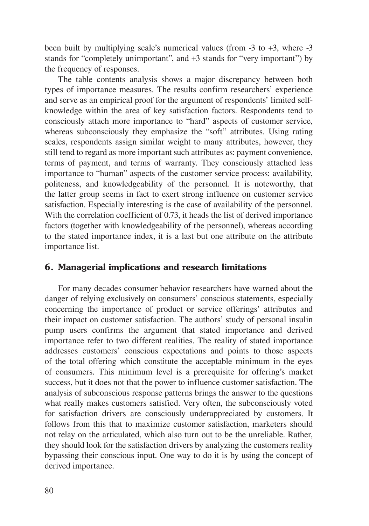been built by multiplying scale's numerical values (from -3 to +3, where -3 stands for "completely unimportant", and +3 stands for "very important") by the frequency of responses.

The table contents analysis shows a major discrepancy between both types of importance measures. The results confirm researchers' experience and serve as an empirical proof for the argument of respondents' limited selfknowledge within the area of key satisfaction factors. Respondents tend to consciously attach more importance to "hard" aspects of customer service, whereas subconsciously they emphasize the "soft" attributes. Using rating scales, respondents assign similar weight to many attributes, however, they still tend to regard as more important such attributes as: payment convenience, terms of payment, and terms of warranty. They consciously attached less importance to "human" aspects of the customer service process: availability, politeness, and knowledgeability of the personnel. It is noteworthy, that the latter group seems in fact to exert strong influence on customer service satisfaction. Especially interesting is the case of availability of the personnel. With the correlation coefficient of 0.73, it heads the list of derived importance factors (together with knowledgeability of the personnel), whereas according to the stated importance index, it is a last but one attribute on the attribute importance list.

## **6. Managerial implications and research limitations**

For many decades consumer behavior researchers have warned about the danger of relying exclusively on consumers' conscious statements, especially concerning the importance of product or service offerings' attributes and their impact on customer satisfaction. The authors' study of personal insulin pump users confirms the argument that stated importance and derived importance refer to two different realities. The reality of stated importance addresses customers' conscious expectations and points to those aspects of the total offering which constitute the acceptable minimum in the eyes of consumers. This minimum level is a prerequisite for offering's market success, but it does not that the power to influence customer satisfaction. The analysis of subconscious response patterns brings the answer to the questions what really makes customers satisfied. Very often, the subconsciously voted for satisfaction drivers are consciously underappreciated by customers. It follows from this that to maximize customer satisfaction, marketers should not relay on the articulated, which also turn out to be the unreliable. Rather, they should look for the satisfaction drivers by analyzing the customers reality bypassing their conscious input. One way to do it is by using the concept of derived importance.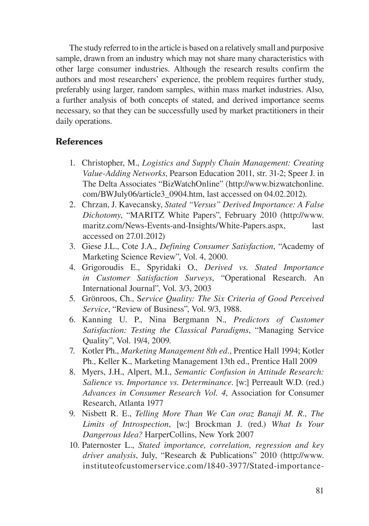The study referred to in the article is based on a relatively small and purposive sample, drawn from an industry which may not share many characteristics with other large consumer industries. Although the research results confirm the authors and most researchers' experience, the problem requires further study, preferably using larger, random samples, within mass market industries. Also, a further analysis of both concepts of stated, and derived importance seems necessary, so that they can be successfully used by market practitioners in their daily operations.

## **References**

- 1. Christopher, M., *Logistics and Supply Chain Management: Creating Value-Adding Networks*, Pearson Education 2011, str. 31-2; Speer J. in The Delta Associates "BizWatchOnline" (http://www.bizwatchonline. com/BWJuly06/article3\_0904.htm, last accessed on 04.02.2012).
- 2. Chrzan, J. Kavecansky, *Stated "Versus" Derived Importance: A False Dichotomy*, "MARITZ White Papers", February 2010 (http://www. maritz.com/News-Events-and-Insights/White-Papers.aspx, last accessed on 27.01.2012)
- 3. Giese J.L., Cote J.A., *Defining Consumer Satisfaction*, "Academy of Marketing Science Review", Vol. 4, 2000.
- 4. Grigoroudis E., Spyridaki O., *Derived vs. Stated Importance in Customer Satisfaction Surveys*, "Operational Research. An International Journal", Vol. 3/3, 2003
- 5. Grönroos, Ch., S*ervice Quality: The Six Criteria of Good Perceived Service*, "Review of Business", Vol. 9/3, 1988.
- 6. Kanning U. P., Nina Bergmann N., *Predictors of Customer Satisfaction: Testing the Classical Paradigms*, "Managing Service Quality", Vol. 19/4, 2009.
- 7. Kotler Ph., *Marketing Management 8th ed.*, Prentice Hall 1994; Kotler Ph., Keller K., Marketing Management 13th ed., Prentice Hall 2009
- 8. Myers, J.H., Alpert, M.I., *Semantic Confusion in Attitude Research: Salience vs. Importance vs. Determinance*. [w:] Perreault W.D. (red.) *Advances in Consumer Research Vol. 4*, Association for Consumer Research, Atlanta 1977
- 9. Nisbett R. E., *Telling More Than We Can oraz Banaji M. R., The Limits of Introspection*, [w:] Brockman J. (red.) *What Is Your Dangerous Idea?* HarperCollins, New York 2007
- 10. Paternoster L., *Stated importance, correlation, regression and key driver analysis*, July, "Research & Publications" 2010 (http://www. instituteofcustomerservice.com/1840-3977/Stated-importance-